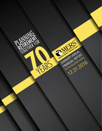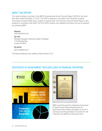# ABOUT THIS REPORT

This report provides a summary of the MERS Comprehensive Annual Financial Report (CAFR) for the fiscal year which ended December 31, 2016. The CAFR is prepared in accordance with Generally Accepted Accounting Principles (GAAP) and is subject to external audit. This Summary Annual Financial Report is also prepared in accordance with GAAP. The 2016 CAFR contains more detailed information and can be obtained by contacting MERS:

Website: *www.mersofmich.com*

By mail: Municipal Employees' Retirement System of Michigan 1134 Municipal Way Lansing, MI 48917

By phone: 800.767.MERS (6377)

The financial statements were audited by Plante & Moran, PLLC.



# CERTIFICATE OF ACHIEVEMENT FOR EXCELLENCE IN FINANCIAL REPORTING



MERS received the Award for Outstanding Achievement in Popular Annual Financial Reporting from the Government Finance Officers Association for the 2015 Summary Annual Financial Report. This marks the 13th consecutive year MERS has received this honor.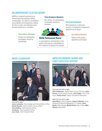# AN INDEPENDENT ELECTED BOARD

MERS is a nonprofit governed by an elected board that operates without compensation. Our board is committed to accountability and transparency, holding the line on costs, and watching out for the best interest of our members.

### Three Officer Members:

Officers of a participating municipality, elected by membership

#### Three Employee Members:

Non-officers of a participating municipality, elected by members



### MERS Retirement Board

is responsible for administration of the system with fiduciary responsibility for the investment of assets and oversight.

### Two Expert Members:

With experience in retirement systems or investment management, appointed by the Board

### One Retiree Member:

Retiree of the system, appointed by the Board



From left to right: Carrie Lombardo, Chief Strategic and External Affairs Officer Denise Boucke, Chief Customer Service Officer Chris DeRose, Chief Executive Officer Jeb Burns, Chief Investment Officer Leon Hank, Chief Financial Officer

# MERS LEADERSHIP MERS RETIREMENT BOARD AND CHIEF EXECUTIVE OFFICER



Front row from left to right:

Dale Feldpausch, Capital Region Airport Authority; Sally Dreves, Grand Traverse County; John Ogden, City of Port Huron; Randy Girard, Charter Township of Marquette

#### Back row from left to right:

Amy Deford, County of Saginaw; James R. Wiersma, Family Investment & Resource Management LLC, Holland; Jason Sarata, Delta Township; Michael Brown, Barry County; Mike Gilmore, Delta Dental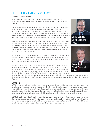# LETTER OF TRANSMITTAL, MAY 10, 2017

### DEAR MERS PARTICIPANTS:

We are pleased to submit the Summary Annual Financial Report (CAFR) for the Municipal Employees' Retirement System (MERS) of Michigan for the fiscal year ending December 31, 2016.

During the year, MERS completed its final year of a three-year strategic plan that focused on four broad goals: Enhancing Partnerships with Employers; Meeting the Needs of Participants; Strengthening Growth, Retention, Efficiency and Cost Management; and Operating as an Outcome-Based Culture. Supported by numerous projects and measured by meaningful data, this has resulted in noticeable success at every level of the organization. It also set the stage for continuing to progress through our next four-year strategic plan.

Based on employer and participant feedback, major initiatives for 2016 included several portal enhancements. The MERS Employer Portal added functionality to improve the performance of Defined Benefit reporting, ultimately saving time for employers. New pages were also added to ease the reporting of voluntary contributions. In addition to the portals, forms and processes were also updated to streamline the employer and participant's experience with MERS.

MERS had a large focus on participant education during 2016 to increase our participants' retirement readiness. Communications were sent on a regular basis on relevant issues and benefit information, including explanations of our various retirement investment strategies and tips to help understand investment fees.

With the implementation of the 2015 Experience Study results, MERS directed specific attention to assisting our municipalities in managing their unfunded liabilities. In doing this, we recognize there is no one-size-fits-all approach. MERS has expanded its toolbox of options for municipalities to proactively address their plans, and we're proud of the fact that over the last five years, 73% of MERS members have taken voluntary steps to reduce

unfunded liabilities. This approach aligns the unique nature of each municipality with the appropriate strategies to address their specific needs. The majority of these plans are on a schedule to eliminate their unfunded liabilities within a period of 23 years.

### MERS Profile

MERS is a statutory public corporation that serves members across the state of Michigan. We are one of the largest, most established, and successful shared services stories in Michigan, providing administration, investment expertise, fiduciary responsibility, and oversight for benefit plans. This allows local governments to focus on core services, leaving day-to-day plan administration to us. Services include: plan governance, on-staff auditor, legal counsel, actuarial services, financial management, information technology support, legislative advocacy, administration of benefits, and investments.

MERS offers a full range of customizable plans and services. We work in partnership with our members to develop the plan that best meets their unique needs. We listen to our members and regularly add new, updated products and tools, such as new options to help manage unfunded liability and enhancements to the Defined Contribution Plan. The MERS Retirement Board (Board) serves as the fiduciary of the funds and has oversight responsibilities.



Chris DeRose Chief Executive **Officer** 

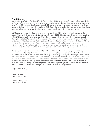#### Financial Summary

Investment returns for the MERS Defined Benefit Portfolio gained 11.10% (gross of fees). This year-end figure exceeds the performance of many of our peer groups in the retirement security services industry and exceeds our actuarial assumption of 7.75%. Our 2016 investment performance ranked MERS second in the country among our peer group of 55 funds with assets greater than \$1 billion and within the Wilshire TUCS (Trust Universe Comparison Services) according to State Street. More information regarding our investment management performance is found in the Investments Section.

MERS also grew its net position held for members to a new record level of \$10.1 billion, the first time exceeding that plateau. The most significant factor in that growth was net revenue of \$1.9 billion. Cost control measures were maintained with MERS holding its administrative costs to \$19.1 million, consistent with last year, and within comparable costs all the way back to its 2009 spending level. As an indicator of how municipalities are more aggressively funding their other post-employment benefit obligations, MERS experienced its most significant growth in the Retiree Health Funding Vehicle, where net plan assets grew by over \$116 million to a total of \$753 million. One other measure of a defined benefit retirement system's financial health is the percentage of its actuarial liabilities owed that is covered by its available actuarial assets. Using this ratio, 389 of MERS' municipalities, were funded at 70% or higher (54% of all municipalities).

We continue to partner with all municipalities in helping them set fiscal goals and discussing options to find the programs and provisions that best fit each municipality's unique needs. There are 803 municipalities within MERS Defined Benefit and Hybrid Plans, which results in 2,680 divisions with unique benefit designs. Overall, 54% of municipalities have one or more divisions where new hires have either a hybrid plan or a lower tier defined benefit. About 34% of municipalities have one or more divisions where new hires have a defined contribution plan. There were also 36 divisions that increased cost sharing to their employees. Over a quarter of our employers made voluntary contributions to their plan, contributing an additional \$144 million to help increase funding levels. These efforts helped strengthen the financial condition of all these plans. In addition, new municipalities joining the MERS system brought in an extra \$38 million.

Respectfully submitted,

*Chris DeRose* Chief Executive Officer

*Leon E. Hank, CPA* Chief Financial Officer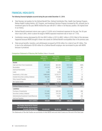# FINANCIAL HIGHLIGHTS

### The following financial highlights occurred during the year ended December 31, 2016:

- Total fiduciary net position for the Defined Benefit Plan, Defined Contribution Plan, Health Care Savings Program, Retiree Health Funding Vehicle, 457 Program, and Investment Services Program increased by 9%, primarily due to investment gains for the year. MERS finished the year with \$10.1 billion in net fiduciary position, the highest level in our history.
- Defined Benefit investment returns saw a gain of 10.85% net of investment expenses for the year. The 30-year return was 8.26%, which is above the target of MERS expected investment rate of return of 7.75%.
- Contribution revenue decreased by 6% from \$910 million in 2015 to \$851 million in 2016. Most of this decrease happened because MERS brought in fewer new assets for Defined Benefit municipalities than in the previous year.
- Total annual benefits, transfers, and withdrawals increased by \$156 million for a total of over \$1 billion. This is due to the withdrawal of \$108 million for a Defined Benefit employer who terminated its plan with MERS because it privatized.

|                                                                                                                     | <b>Year Ended</b><br>December 31,<br>2016 | <b>Year Ended</b><br>December 31,<br>2015 | <b>Increase</b><br>(Decrease)<br>Amount | <b>Increase</b><br>(Decrease)<br>Percent |
|---------------------------------------------------------------------------------------------------------------------|-------------------------------------------|-------------------------------------------|-----------------------------------------|------------------------------------------|
| <b>Assets</b>                                                                                                       |                                           |                                           |                                         |                                          |
| Cash and Short-Term Investments                                                                                     | \$131,919                                 | \$24,594                                  | \$107,325                               | 436%                                     |
| Receivables                                                                                                         | 214,316                                   | 391,250                                   | (176, 932)                              | (45)                                     |
| Interfund Receivables                                                                                               | 81                                        | 69                                        | 12                                      | 17                                       |
| Loans                                                                                                               | 5,064                                     | 5,004                                     | 60                                      | 1                                        |
| Investments, at fair value                                                                                          | 9,863,926                                 | 9,133,777                                 | 730,149                                 | 8                                        |
| <b>Invested Securities Lending Collateral</b>                                                                       | 750,384                                   | 773,608                                   | (23, 224)                               | (3)                                      |
| Other Assets/Prepaids                                                                                               | 651                                       | 2.108                                     | (1, 457)                                | (69)                                     |
| Net Capital Assets                                                                                                  | 15,126                                    | 14,339                                    | 786                                     | 5                                        |
| <b>Total Assets</b>                                                                                                 | 10,981,468                                | 10,344,749                                | 636,719                                 | 6%                                       |
| Outflows Related to Pension                                                                                         | 5,130                                     | 2,424                                     | 2,706                                   | 112                                      |
| <b>Liabilities</b>                                                                                                  |                                           |                                           |                                         |                                          |
| Purchase of Investments                                                                                             | 171,383                                   | 329,126                                   | (157, 743)                              | (48)                                     |
| Securities Lending Collateral                                                                                       | 750,429                                   | 774,753                                   | (24, 324)                               | (3)                                      |
| Administrative/Investment Costs/Reserves                                                                            | 10,763                                    | 14,041                                    | (3,278)                                 | (23)                                     |
| Interfund Payables                                                                                                  | 81                                        | 69                                        | 12                                      | 17                                       |
| <b>Total Liabilities</b>                                                                                            | 932,656                                   | 1,117,989                                 | (185, 333)                              | (17%)                                    |
|                                                                                                                     |                                           |                                           |                                         |                                          |
| <b>Net Position Restricted for Pension</b><br>and Health Benefits and Investment<br><b>Accounts Held for Others</b> | \$10,053,942                              | \$9,229,184                               | \$824,758                               | 9%                                       |

#### **Comparison Statement of Fiduciary Net Position (Dollars in Thousands)**

*The Statements of Plan Net Position are summaries of what MERS owns and what it owes as of the end of the fiscal year.*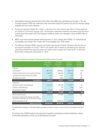- Administrative expenses remained level at \$19 million while MERS grew significantly and brought in 145 new municipal programs. MERS has continued to keep costs down through the growth of our pool and stronger ongoing budgeting and cost-control measures.
- Investment expenses totaled \$17 million, a decrease from the previous year. Most of these expenses are related to investment manager fees. The decrease in expenses compared to the previous year was due to a performance bonus paid in 2015 and bringing in additional assets to be managed in-house by MERS Office of Investments.
- MERS' most recent actuarial valuation dated December 31, 2015, showed 389 of MERS' 717 Defined Benefit municipalities were funded 70% or better, with 54 municipalities over 100% funded.
- The difference between MERS' actuarial and market value assets remained consistent with last year, as the actuarial calculation for 2016 is 108% of the market value of assets as calculated by the actuaries. Total Defined Benefit Plan actuarial assets and market value of assets were valued at \$9.14 billion and \$8.49 billion respectively at December 31, 2016.

|                                                                                                    | Year ended<br>December 31,<br>2016 | Year ended<br>December 31,<br>2015 | Increase<br>(Decrease)<br>Amount | Increase<br>(Decrease)<br>Percent |
|----------------------------------------------------------------------------------------------------|------------------------------------|------------------------------------|----------------------------------|-----------------------------------|
| Additions                                                                                          |                                    |                                    |                                  |                                   |
| Contributions                                                                                      | \$851,270                          | \$909,983                          | \$(58,713)                       | (6%)                              |
| Investment Net Income (Loss) Investing Activities                                                  | 1,000,473                          | (166, 023)                         | 1,166,496                        | 703                               |
| Investment Net Income-Securities Lending                                                           | 5,073                              | 4,037                              | 1,036                            | 26                                |
| Miscellaneous Income                                                                               | 101                                | 2,380                              | (2, 279)                         | (96)                              |
| <b>Total Additions</b>                                                                             | 1,856,917                          | 750,377                            | 1,106,540                        | 147%                              |
| <b>Deductions</b>                                                                                  |                                    |                                    |                                  |                                   |
| Benefits/Transfers and Withdrawals                                                                 | 1,013,016                          | 857,335                            | 155,681                          | 18                                |
| Forfeitures, Miscellaneous                                                                         |                                    | 355                                | (355)                            | (100)                             |
| Administrative Expense                                                                             | 19,143                             | 19,276                             | (133)                            | (1)                               |
|                                                                                                    | 1,032,159                          | 876,966                            | 155,193                          | 18%                               |
| Net Increase/Decrease                                                                              | 824,758                            | (126, 589)                         | 951,347                          | 752                               |
| Net Position-Restricted for Pension and Health<br>Benefits and Investment Accounts Held for Others |                                    |                                    |                                  |                                   |
| Balance Beginning of Year                                                                          | 9,229,184                          | 9,355,773                          | (126,589)                        | (1)                               |
| <b>Balance End of Year</b>                                                                         | \$10,053,942                       | \$9,229,184                        | \$824,758                        | 9%                                |

### Comparison Statement of Changes in Fiduciary Net Position (Dollars in Thousands)

*The Statements of Changes in Plan Net Position summarize the flow of money in and out of the fund throughout the fiscal year.*

The primary uses of MERS assets are the payments of benefits to participants and their beneficiaries, refunds to terminated participants, and the cost of administering the system.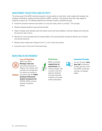# INVESTMENT OBJECTIVES AND ACTIVITY

The primary goal of the MERS investment program is to grow assets at a rate which, when coupled with employer and employee contributions, satisfies promised benefits to MERS' members. This should be done with a high degree of prudence to reduce risk. The following objectives are intended to assist in achieving this goal:

- Exceed the actuarial investment assumption on a long-term basis, which is currently 7.75% annually.
- Maintain adequate liquidity to pay promised benefits.
- Adopt a strategic asset allocation plan that reflects current and future liabilities, minimizes volatility, and maximizes the long-term rate of return.
- Minimize the costs associated with the implementation of the asset allocation through the efficient use of internal and external resources.
- Maintain above median peer rankings for the 3, 5, and 10-year time periods.
- Exceed the return of the Fund's Policy Benchmark.

# INVESTING IN RETIREMENT



Law and Regulation MERS must follow Michigan state law and prudent standards of diligence. We maintain strict oversight and management. Our assets are invested in PERSIA accordance with the Public Employee Retirement System Investment Act (PERSIA). MERS conducts quarterly compliance reviews.



#### **Performance**

MERS consistently outperforms its benchmarks and market averages, with a prudent, long-term approach designed to provide downside protection and upside market participation.



#### Investment Earnings

For over 20 years, **more** than half of retirement benefits paid have come from MERS' investment earnings, not taxpayer dollars.

#### 8 | www.mersofmich.com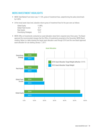# MERS INVESTMENT HIGHLIGHTS

- MERS Total Market Fund return was 11.10%, gross of investment fees, outperforming the policy benchmark by 4.80%
- At the broad asset class level, absolute returns gross of investment fees for the year were as follows:

| <b>Global Equity</b>    | 11.86% |
|-------------------------|--------|
| Global Fixed Income     | 6.71   |
| Real Assets             | 19.67  |
| Diversifying Strategies | 5.21   |

• MERS Office of Investments conducted an asset allocation study that is required every three years. The Board approved the recommended changes that the Office of Investments presented at the December MERS Board meeting. Below is a table showing the target asset allocation used through 2016 and the new Board approved asset allocation for use starting January 1, 2017.

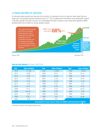# A TRACK RECORD OF SUCCESS

As retirement plans operate over long-term time horizons, it's important to focus on long-term rates rather than any single year. The actuarial assumed investment return of 7.75% is projected over the lifetime of the participants covered in the plan, typically more than 30 years. For municipalities that wish to project a more conservative approach, MERS provides tools to do so within our annual valuation reports.



| Year                                                              | <b>Rate of Return</b> |  | <b>Year</b> | <b>Rate of Return</b> |  | Year | <b>Rate of Return</b> |
|-------------------------------------------------------------------|-----------------------|--|-------------|-----------------------|--|------|-----------------------|
| 2016                                                              | 11.10%                |  | 2004        | 14.90%                |  | 1992 | 8.05%                 |
| 2015                                                              | (0.85)                |  | 2003        | 24.72                 |  | 1991 | 22.14                 |
| 2014                                                              | 6.68                  |  | 2002        | (8.34)                |  | 1990 | 2.94                  |
| 2013                                                              | 15.00                 |  | 2001        | (1.91)                |  | 1989 | 19.10                 |
| 2012                                                              | 11.39                 |  | 2000        | (2.76)                |  | 1988 | 11.20                 |
| 2011                                                              | 2.30                  |  | 1999        | 17.01                 |  | 1987 | 5.51                  |
| 2010                                                              | 14.43                 |  | 1998        | 14.20                 |  | 1986 | 13.55                 |
| 2009                                                              | 17.31                 |  | 1997        | 14.43                 |  | 1985 | 24.33                 |
| 2008                                                              | (24.79)               |  | 1996        | 12.68                 |  | 1984 | 9.33                  |
| 2007                                                              | 8.58                  |  | 1995        | 23.95                 |  | 1983 | 10.64                 |
| 2006                                                              | 13.61                 |  | 1994        | 0.52                  |  | 1982 | 26.69                 |
| 2005                                                              | 6.78                  |  | 1993        | 9.67                  |  |      |                       |
| Annualized 35-year rate of return for MERS Defined Benefit: 9.61% |                       |  |             |                       |  |      |                       |

### Year-by-Year Returns (35 years: 1982-2016)

Performance numbers on this page are gross of fees.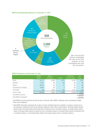#### MERS Participating Municipalities as of December 31, 2016



#### MERS Participants as of December 31, 2016

|                           | <b>Defined</b><br><b>Benefit</b> | <b>Defined</b><br>Contribution | <b>Hybrid</b> | <b>Health Care</b><br>Savings Program | 457<br>Program |
|---------------------------|----------------------------------|--------------------------------|---------------|---------------------------------------|----------------|
| Active                    | 33,111                           | 10,836                         | 2,273         | 13,404                                | 2,581          |
| Deferred                  | 8,612                            | <b>NA</b>                      | 156           | <b>NA</b>                             | <b>NA</b>      |
| Retired                   | 38,412                           | <b>NA</b>                      | 47            | <b>NA</b>                             | <b>NA</b>      |
| Contributions not Vested  | 10,990                           | <b>NA</b>                      | 8             | <b>NA</b>                             | <b>NA</b>      |
| Terminated                | <b>NA</b>                        | 3,967                          | <b>NA</b>     | 4,125                                 | 326            |
| Product Totals            | 91,125                           | 14,803                         | 2,484         | 17,529                                | 2,907          |
| Total MERS Accounts*      |                                  |                                |               |                                       | 128,848        |
| Total MERS Participants** |                                  |                                |               |                                       | 109,120        |

*\* Total MERS Accounts represents the total number of accounts within MERS; individuals may be represented multiple times across categories.* 

*\*\* Total MERS Participants represents the number of unique individuals that have a liability in a program. At least one of*  the individual's employments fell into the following categories: Active Status, Retired Status, Terminated Status Defined *Benefit vested, Terminated Status Defined Benefit not vested but has a contribution balance, Terminated Status Hybrid vested, Terminated Status Hybrid not vested but has a contribution balance, Terminated Status Defined Contribution with a contribution balance, or Terminated Status Health Care Savings Program with a contribution balance.*